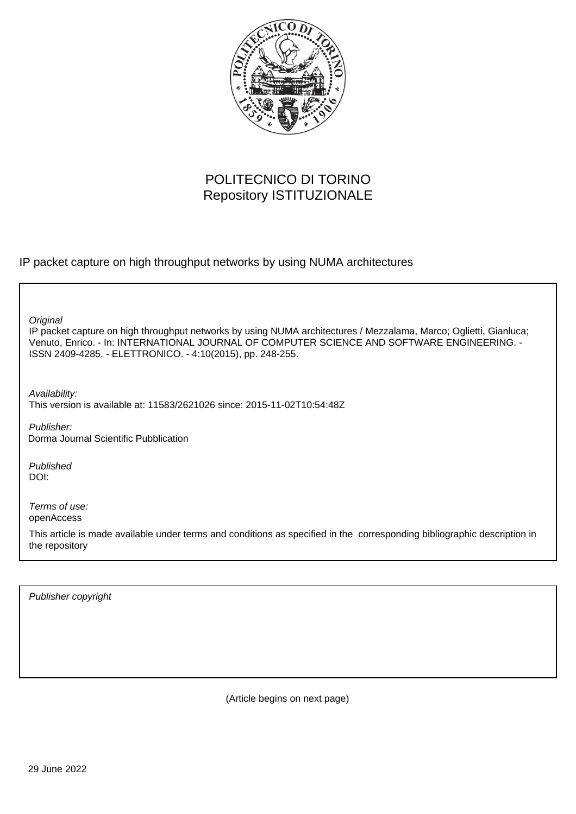

## POLITECNICO DI TORINO Repository ISTITUZIONALE

IP packet capture on high throughput networks by using NUMA architectures

**Original** 

IP packet capture on high throughput networks by using NUMA architectures / Mezzalama, Marco; Oglietti, Gianluca; Venuto, Enrico. - In: INTERNATIONAL JOURNAL OF COMPUTER SCIENCE AND SOFTWARE ENGINEERING. - ISSN 2409-4285. - ELETTRONICO. - 4:10(2015), pp. 248-255.

Availability: This version is available at: 11583/2621026 since: 2015-11-02T10:54:48Z

Publisher: Dorma Journal Scientific Pubblication

Published DOI:

Terms of use: openAccess

This article is made available under terms and conditions as specified in the corresponding bibliographic description in the repository

Publisher copyright

(Article begins on next page)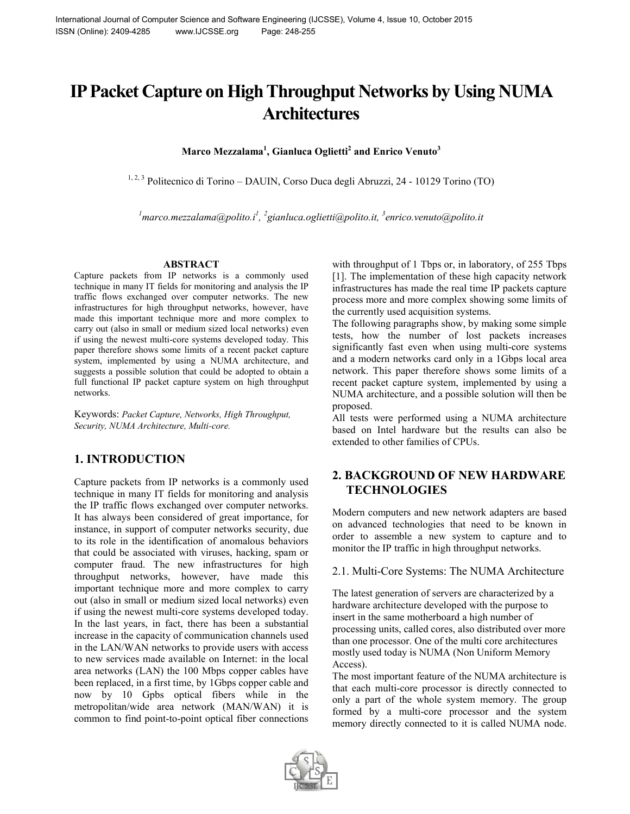# **IP Packet Capture on High Throughput Networks by Using NUMA Architectures**

**Marco Mezzalama<sup>1</sup> , Gianluca Oglietti<sup>2</sup> and Enrico Venuto<sup>3</sup>**

<sup>1, 2, 3</sup> Politecnico di Torino – DAUIN, Corso Duca degli Abruzzi, 24 - 10129 Torino (TO)

<sup>1</sup> marco.mezzalama@polito.i<sup>1</sup>, <sup>2</sup>gianluca.oglietti@polito.it, <sup>3</sup>enrico.venuto@polito.it

#### **ABSTRACT**

Capture packets from IP networks is a commonly used technique in many IT fields for monitoring and analysis the IP traffic flows exchanged over computer networks. The new infrastructures for high throughput networks, however, have made this important technique more and more complex to carry out (also in small or medium sized local networks) even if using the newest multi-core systems developed today. This paper therefore shows some limits of a recent packet capture system, implemented by using a NUMA architecture, and suggests a possible solution that could be adopted to obtain a full functional IP packet capture system on high throughput networks.

Keywords: *Packet Capture, Networks, High Throughput, Security, NUMA Architecture, Multi-core.*

## **1. INTRODUCTION**

Capture packets from IP networks is a commonly used technique in many IT fields for monitoring and analysis the IP traffic flows exchanged over computer networks. It has always been considered of great importance, for instance, in support of computer networks security, due to its role in the identification of anomalous behaviors that could be associated with viruses, hacking, spam or computer fraud. The new infrastructures for high throughput networks, however, have made this important technique more and more complex to carry out (also in small or medium sized local networks) even if using the newest multi-core systems developed today. In the last years, in fact, there has been a substantial increase in the capacity of communication channels used in the LAN/WAN networks to provide users with access to new services made available on Internet: in the local area networks (LAN) the 100 Mbps copper cables have been replaced, in a first time, by 1Gbps copper cable and now by 10 Gpbs optical fibers while in the metropolitan/wide area network (MAN/WAN) it is common to find point-to-point optical fiber connections with throughput of 1 Tbps or, in laboratory, of 255 Tbps [1]. The implementation of these high capacity network infrastructures has made the real time IP packets capture process more and more complex showing some limits of the currently used acquisition systems.

The following paragraphs show, by making some simple tests, how the number of lost packets increases significantly fast even when using multi-core systems and a modern networks card only in a 1Gbps local area network. This paper therefore shows some limits of a recent packet capture system, implemented by using a NUMA architecture, and a possible solution will then be proposed.

All tests were performed using a NUMA architecture based on Intel hardware but the results can also be extended to other families of CPUs.

## **2. BACKGROUND OF NEW HARDWARE TECHNOLOGIES**

Modern computers and new network adapters are based on advanced technologies that need to be known in order to assemble a new system to capture and to monitor the IP traffic in high throughput networks.

#### 2.1. Multi-Core Systems: The NUMA Architecture

The latest generation of servers are characterized by a hardware architecture developed with the purpose to insert in the same motherboard a high number of processing units, called cores, also distributed over more than one processor. One of the multi core architectures mostly used today is NUMA (Non Uniform Memory Access).

The most important feature of the NUMA architecture is that each multi-core processor is directly connected to only a part of the whole system memory. The group formed by a multi-core processor and the system memory directly connected to it is called NUMA node.

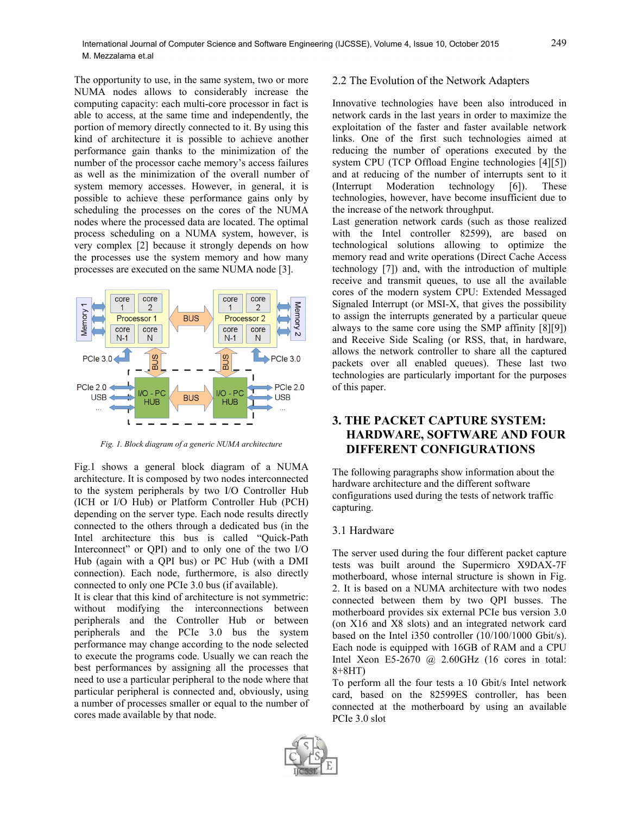The opportunity to use, in the same system, two or more NUMA nodes allows to considerably increase the computing capacity: each multi-core processor in fact is able to access, at the same time and independently, the portion of memory directly connected to it. By using this kind of architecture it is possible to achieve another performance gain thanks to the minimization of the number of the processor cache memory's access failures as well as the minimization of the overall number of system memory accesses. However, in general, it is possible to achieve these performance gains only by scheduling the processes on the cores of the NUMA nodes where the processed data are located. The optimal process scheduling on a NUMA system, however, is very complex [2] because it strongly depends on how the processes use the system memory and how many processes are executed on the same NUMA node [3].



*Fig. 1. Block diagram of a generic NUMA architecture*

Fig.1 shows a general block diagram of a NUMA architecture. It is composed by two nodes interconnected to the system peripherals by two I/O Controller Hub (ICH or I/O Hub) or Platform Controller Hub (PCH) depending on the server type. Each node results directly connected to the others through a dedicated bus (in the Intel architecture this bus is called "Quick-Path Interconnect" or QPI) and to only one of the two I/O Hub (again with a QPI bus) or PC Hub (with a DMI connection). Each node, furthermore, is also directly connected to only one PCIe 3.0 bus (if available).

It is clear that this kind of architecture is not symmetric: without modifying the interconnections between peripherals and the Controller Hub or between peripherals and the PCIe 3.0 bus the system performance may change according to the node selected to execute the programs code. Usually we can reach the best performances by assigning all the processes that need to use a particular peripheral to the node where that particular peripheral is connected and, obviously, using a number of processes smaller or equal to the number of cores made available by that node.

#### 2.2 The Evolution of the Network Adapters

Innovative technologies have been also introduced in network cards in the last years in order to maximize the exploitation of the faster and faster available network links. One of the first such technologies aimed at reducing the number of operations executed by the system CPU (TCP Offload Engine technologies [4][5]) and at reducing of the number of interrupts sent to it (Interrupt Moderation technology [6]). These technologies, however, have become insufficient due to the increase of the network throughput.

Last generation network cards (such as those realized with the Intel controller 82599), are based on technological solutions allowing to optimize the memory read and write operations (Direct Cache Access technology [7]) and, with the introduction of multiple receive and transmit queues, to use all the available cores of the modern system CPU: Extended Messaged Signaled Interrupt (or MSI-X, that gives the possibility to assign the interrupts generated by a particular queue always to the same core using the SMP affinity [8][9]) and Receive Side Scaling (or RSS, that, in hardware, allows the network controller to share all the captured packets over all enabled queues). These last two technologies are particularly important for the purposes of this paper.

## **3. THE PACKET CAPTURE SYSTEM: HARDWARE, SOFTWARE AND FOUR DIFFERENT CONFIGURATIONS**

The following paragraphs show information about the hardware architecture and the different software configurations used during the tests of network traffic capturing.

#### 3.1 Hardware

The server used during the four different packet capture tests was built around the Supermicro X9DAX-7F motherboard, whose internal structure is shown in Fig. 2. It is based on a NUMA architecture with two nodes connected between them by two QPI busses. The motherboard provides six external PCIe bus version 3.0 (on X16 and X8 slots) and an integrated network card based on the Intel i350 controller (10/100/1000 Gbit/s). Each node is equipped with 16GB of RAM and a CPU Intel Xeon E5-2670  $\omega$  2.60GHz (16 cores in total: 8+8HT)

To perform all the four tests a 10 Gbit/s Intel network card, based on the 82599ES controller, has been connected at the motherboard by using an available PCIe 3.0 slot

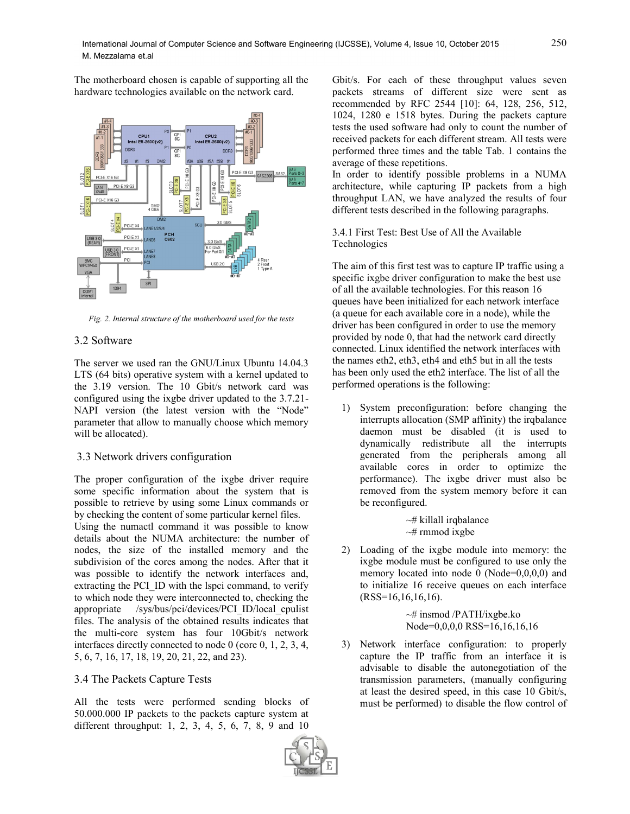The motherboard chosen is capable of supporting all the hardware technologies available on the network card.



*Fig. 2. Internal structure of the motherboard used for the tests*

### 3.2 Software

The server we used ran the GNU/Linux Ubuntu 14.04.3 LTS (64 bits) operative system with a kernel updated to the 3.19 version. The 10 Gbit/s network card was configured using the ixgbe driver updated to the 3.7.21- NAPI version (the latest version with the "Node" parameter that allow to manually choose which memory will be allocated).

#### 3.3 Network drivers configuration

The proper configuration of the ixgbe driver require some specific information about the system that is possible to retrieve by using some Linux commands or by checking the content of some particular kernel files.

Using the numactl command it was possible to know details about the NUMA architecture: the number of nodes, the size of the installed memory and the subdivision of the cores among the nodes. After that it was possible to identify the network interfaces and, extracting the PCI ID with the lspci command, to verify to which node they were interconnected to, checking the appropriate /sys/bus/pci/devices/PCI\_ID/local\_cpulist files. The analysis of the obtained results indicates that the multi-core system has four 10Gbit/s network interfaces directly connected to node 0 (core 0, 1, 2, 3, 4, 5, 6, 7, 16, 17, 18, 19, 20, 21, 22, and 23).

## 3.4 The Packets Capture Tests

All the tests were performed sending blocks of 50.000.000 IP packets to the packets capture system at different throughput: 1, 2, 3, 4, 5, 6, 7, 8, 9 and 10

Gbit/s. For each of these throughput values seven packets streams of different size were sent as recommended by RFC 2544 [10]: 64, 128, 256, 512, 1024, 1280 e 1518 bytes. During the packets capture tests the used software had only to count the number of received packets for each different stream. All tests were performed three times and the table Tab. 1 contains the average of these repetitions.

In order to identify possible problems in a NUMA architecture, while capturing IP packets from a high throughput LAN, we have analyzed the results of four different tests described in the following paragraphs.

#### 3.4.1 First Test: Best Use of All the Available Technologies

The aim of this first test was to capture IP traffic using a specific ixgbe driver configuration to make the best use of all the available technologies. For this reason 16 queues have been initialized for each network interface (a queue for each available core in a node), while the driver has been configured in order to use the memory provided by node 0, that had the network card directly connected. Linux identified the network interfaces with the names eth2, eth3, eth4 and eth5 but in all the tests has been only used the eth2 interface. The list of all the performed operations is the following:

1) System preconfiguration: before changing the interrupts allocation (SMP affinity) the irqbalance daemon must be disabled (it is used to dynamically redistribute all the interrupts generated from the peripherals among all available cores in order to optimize the performance). The ixgbe driver must also be removed from the system memory before it can be reconfigured.

> $~\rightarrow~$  killall irqbalance  $~\sim$ # rmmod ixgbe

2) Loading of the ixgbe module into memory: the ixgbe module must be configured to use only the memory located into node 0 (Node=0,0,0,0) and to initialize 16 receive queues on each interface  $(RSS=16,16,16,16)$ .

> $~\sim$ # insmod /PATH/ixgbe.ko Node=0,0,0,0 RSS=16,16,16,16

3) Network interface configuration: to properly capture the IP traffic from an interface it is advisable to disable the autonegotiation of the transmission parameters, (manually configuring at least the desired speed, in this case 10 Gbit/s, must be performed) to disable the flow control of

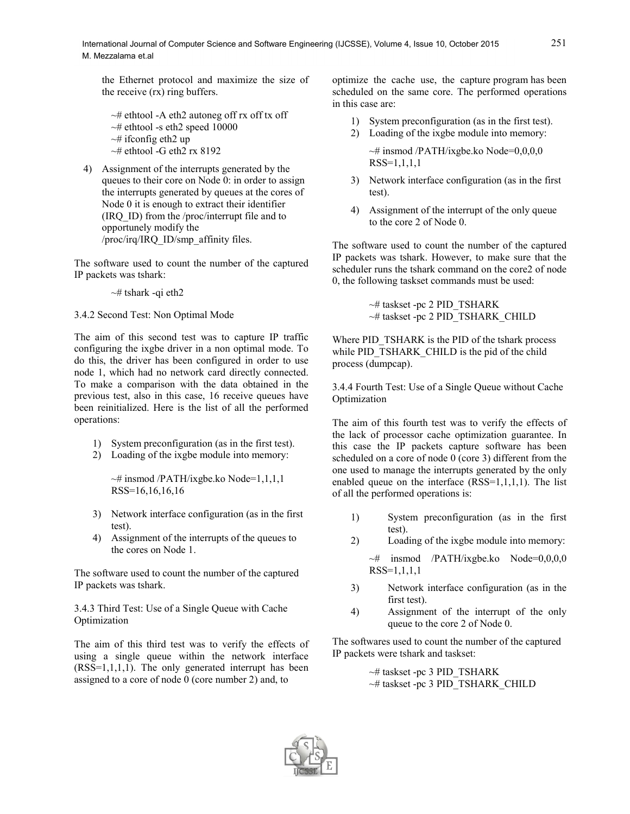the Ethernet protocol and maximize the size of the receive (rx) ring buffers.

- $\sim$ # ethtool -A eth2 autoneg off rx off tx off  $\sim$ # ethtool -s eth2 speed 10000  $\sim$ # ifconfig eth2 up  $~\sim$ # ethtool -G eth2 rx 8192
- 4) Assignment of the interrupts generated by the queues to their core on Node 0: in order to assign the interrupts generated by queues at the cores of Node 0 it is enough to extract their identifier (IRQ\_ID) from the /proc/interrupt file and to opportunely modify the /proc/irq/IRQ\_ID/smp\_affinity files.

The software used to count the number of the captured IP packets was tshark:

 $~\sim$ # tshark -qi eth2

3.4.2 Second Test: Non Optimal Mode

The aim of this second test was to capture IP traffic configuring the ixgbe driver in a non optimal mode. To do this, the driver has been configured in order to use node 1, which had no network card directly connected. To make a comparison with the data obtained in the previous test, also in this case, 16 receive queues have been reinitialized. Here is the list of all the performed operations:

- 1) System preconfiguration (as in the first test).
- 2) Loading of the ixgbe module into memory:

 $\sim$ # insmod /PATH/ixgbe.ko Node=1,1,1,1 RSS=16,16,16,16

- 3) Network interface configuration (as in the first test).
- 4) Assignment of the interrupts of the queues to the cores on Node 1.

The software used to count the number of the captured IP packets was tshark.

3.4.3 Third Test: Use of a Single Queue with Cache Optimization

The aim of this third test was to verify the effects of using a single queue within the network interface  $(RSS=1,1,1,1)$ . The only generated interrupt has been assigned to a core of node 0 (core number 2) and, to

optimize the cache use, the capture program has been scheduled on the same core. The performed operations in this case are:

- 1) System preconfiguration (as in the first test).
- 2) Loading of the ixgbe module into memory:  $\sim$ # insmod /PATH/ixgbe.ko Node=0,0,0,0 RSS=1,1,1,1
- 3) Network interface configuration (as in the first test).
- 4) Assignment of the interrupt of the only queue to the core 2 of Node 0.

The software used to count the number of the captured IP packets was tshark. However, to make sure that the scheduler runs the tshark command on the core2 of node 0, the following taskset commands must be used:

> ~# taskset -pc 2 PID\_TSHARK ~# taskset -pc 2 PID\_TSHARK\_CHILD

Where PID\_TSHARK is the PID of the tshark process while PID\_TSHARK\_CHILD is the pid of the child process (dumpcap).

3.4.4 Fourth Test: Use of a Single Queue without Cache Optimization

The aim of this fourth test was to verify the effects of the lack of processor cache optimization guarantee. In this case the IP packets capture software has been scheduled on a core of node 0 (core 3) different from the one used to manage the interrupts generated by the only enabled queue on the interface  $(RSS=1,1,1,1)$ . The list of all the performed operations is:

- 1) System preconfiguration (as in the first test).
- 2) Loading of the ixgbe module into memory:

 $~\rightarrow~$  insmod /PATH/ixgbe.ko Node=0,0,0,0 RSS=1,1,1,1

- 3) Network interface configuration (as in the first test).
- 4) Assignment of the interrupt of the only queue to the core 2 of Node 0.

The softwares used to count the number of the captured IP packets were tshark and taskset:

> $~\sim$ # taskset -pc 3 PID\_TSHARK ~# taskset -pc 3 PID\_TSHARK\_CHILD

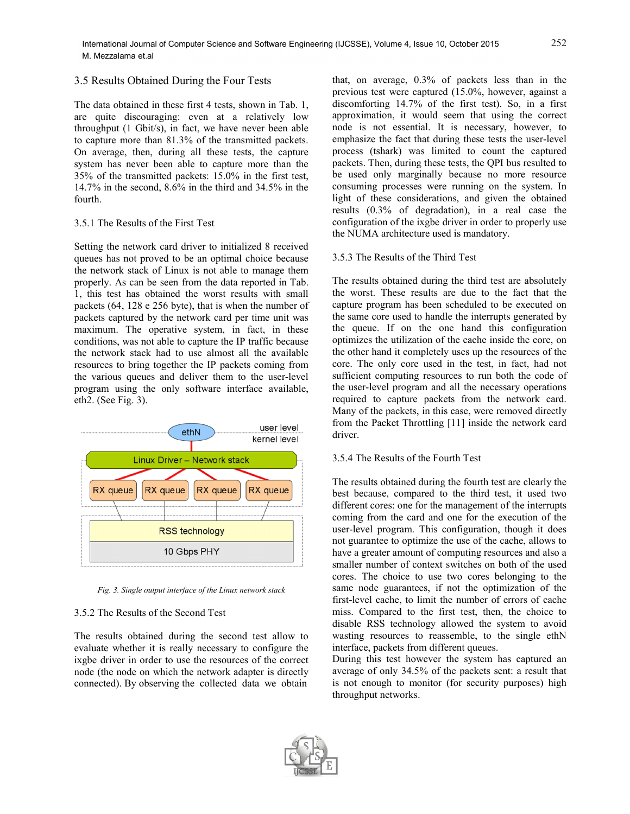#### 3.5 Results Obtained During the Four Tests

The data obtained in these first 4 tests, shown in Tab. 1, are quite discouraging: even at a relatively low throughput (1 Gbit/s), in fact, we have never been able to capture more than 81.3% of the transmitted packets. On average, then, during all these tests, the capture system has never been able to capture more than the 35% of the transmitted packets: 15.0% in the first test, 14.7% in the second, 8.6% in the third and 34.5% in the fourth.

#### 3.5.1 The Results of the First Test

Setting the network card driver to initialized 8 received queues has not proved to be an optimal choice because the network stack of Linux is not able to manage them properly. As can be seen from the data reported in Tab. 1, this test has obtained the worst results with small packets (64, 128 e 256 byte), that is when the number of packets captured by the network card per time unit was maximum. The operative system, in fact, in these conditions, was not able to capture the IP traffic because the network stack had to use almost all the available resources to bring together the IP packets coming from the various queues and deliver them to the user-level program using the only software interface available, eth2. (See Fig. 3).



*Fig. 3. Single output interface of the Linux network stack*

#### 3.5.2 The Results of the Second Test

The results obtained during the second test allow to evaluate whether it is really necessary to configure the ixgbe driver in order to use the resources of the correct node (the node on which the network adapter is directly connected). By observing the collected data we obtain

that, on average, 0.3% of packets less than in the previous test were captured (15.0%, however, against a discomforting 14.7% of the first test). So, in a first approximation, it would seem that using the correct node is not essential. It is necessary, however, to emphasize the fact that during these tests the user-level process (tshark) was limited to count the captured packets. Then, during these tests, the QPI bus resulted to be used only marginally because no more resource consuming processes were running on the system. In light of these considerations, and given the obtained results (0.3% of degradation), in a real case the configuration of the ixgbe driver in order to properly use the NUMA architecture used is mandatory.

#### 3.5.3 The Results of the Third Test

The results obtained during the third test are absolutely the worst. These results are due to the fact that the capture program has been scheduled to be executed on the same core used to handle the interrupts generated by the queue. If on the one hand this configuration optimizes the utilization of the cache inside the core, on the other hand it completely uses up the resources of the core. The only core used in the test, in fact, had not sufficient computing resources to run both the code of the user-level program and all the necessary operations required to capture packets from the network card. Many of the packets, in this case, were removed directly from the Packet Throttling [11] inside the network card driver.

#### 3.5.4 The Results of the Fourth Test

The results obtained during the fourth test are clearly the best because, compared to the third test, it used two different cores: one for the management of the interrupts coming from the card and one for the execution of the user-level program. This configuration, though it does not guarantee to optimize the use of the cache, allows to have a greater amount of computing resources and also a smaller number of context switches on both of the used cores. The choice to use two cores belonging to the same node guarantees, if not the optimization of the first-level cache, to limit the number of errors of cache miss. Compared to the first test, then, the choice to disable RSS technology allowed the system to avoid wasting resources to reassemble, to the single ethN interface, packets from different queues.

During this test however the system has captured an average of only 34.5% of the packets sent: a result that is not enough to monitor (for security purposes) high throughput networks.

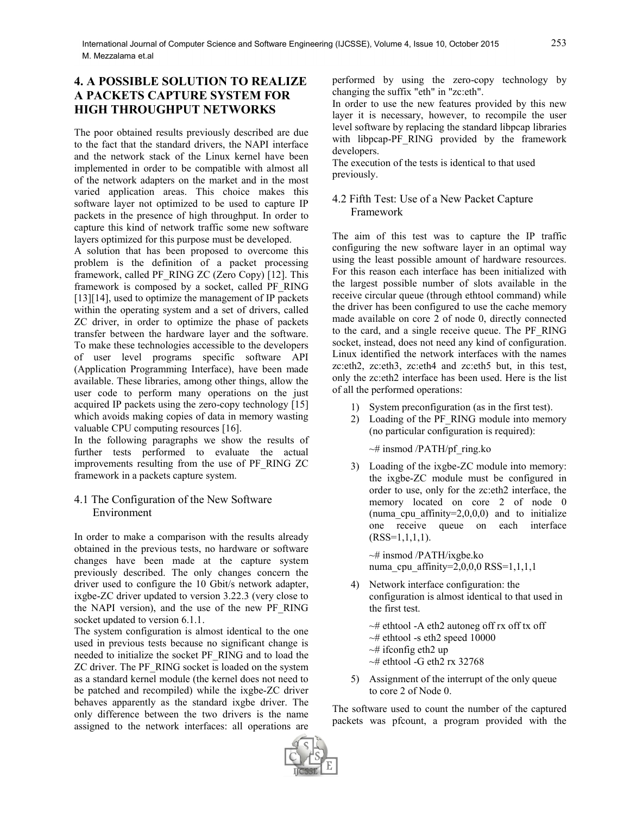## **4. A POSSIBLE SOLUTION TO REALIZE A PACKETS CAPTURE SYSTEM FOR HIGH THROUGHPUT NETWORKS**

The poor obtained results previously described are due to the fact that the standard drivers, the NAPI interface and the network stack of the Linux kernel have been implemented in order to be compatible with almost all of the network adapters on the market and in the most varied application areas. This choice makes this software layer not optimized to be used to capture IP packets in the presence of high throughput. In order to capture this kind of network traffic some new software layers optimized for this purpose must be developed.

A solution that has been proposed to overcome this problem is the definition of a packet processing framework, called PF\_RING ZC (Zero Copy) [12]. This framework is composed by a socket, called PF\_RING [13][14], used to optimize the management of IP packets within the operating system and a set of drivers, called ZC driver, in order to optimize the phase of packets transfer between the hardware layer and the software. To make these technologies accessible to the developers of user level programs specific software API (Application Programming Interface), have been made available. These libraries, among other things, allow the user code to perform many operations on the just acquired IP packets using the zero-copy technology [15] which avoids making copies of data in memory wasting valuable CPU computing resources [16].

In the following paragraphs we show the results of further tests performed to evaluate the actual improvements resulting from the use of PF\_RING ZC framework in a packets capture system.

## 4.1 The Configuration of the New Software Environment

In order to make a comparison with the results already obtained in the previous tests, no hardware or software changes have been made at the capture system previously described. The only changes concern the driver used to configure the 10 Gbit/s network adapter, ixgbe-ZC driver updated to version 3.22.3 (very close to the NAPI version), and the use of the new PF\_RING socket updated to version 6.1.1.

The system configuration is almost identical to the one used in previous tests because no significant change is needed to initialize the socket PF\_RING and to load the ZC driver. The PF\_RING socket is loaded on the system as a standard kernel module (the kernel does not need to be patched and recompiled) while the ixgbe-ZC driver behaves apparently as the standard ixgbe driver. The only difference between the two drivers is the name assigned to the network interfaces: all operations are

performed by using the zero-copy technology by changing the suffix "eth" in "zc:eth".

In order to use the new features provided by this new layer it is necessary, however, to recompile the user level software by replacing the standard libpcap libraries with libpcap-PF\_RING provided by the framework developers.

The execution of the tests is identical to that used previously.

## 4.2 Fifth Test: Use of a New Packet Capture Framework

The aim of this test was to capture the IP traffic configuring the new software layer in an optimal way using the least possible amount of hardware resources. For this reason each interface has been initialized with the largest possible number of slots available in the receive circular queue (through ethtool command) while the driver has been configured to use the cache memory made available on core 2 of node 0, directly connected to the card, and a single receive queue. The PF\_RING socket, instead, does not need any kind of configuration. Linux identified the network interfaces with the names zc:eth2, zc:eth3, zc:eth4 and zc:eth5 but, in this test, only the zc:eth2 interface has been used. Here is the list of all the performed operations:

- 1) System preconfiguration (as in the first test).
- 2) Loading of the PF\_RING module into memory (no particular configuration is required):

~# insmod /PATH/pf\_ring.ko

3) Loading of the ixgbe-ZC module into memory: the ixgbe-ZC module must be configured in order to use, only for the zc:eth2 interface, the memory located on core 2 of node 0 (numa cpu affinity= $2,0,0,0$ ) and to initialize one receive queue on each interface  $(RSS=1,1,1,1).$ 

~# insmod /PATH/ixgbe.ko numa cpu affinity= $2,0,0,0$  RSS= $1,1,1,1$ 

4) Network interface configuration: the configuration is almost identical to that used in the first test.

 $\sim$ # ethtool -A eth2 autoneg off rx off tx off  $~\sim$ # ethtool -s eth2 speed 10000  $\sim$ # ifconfig eth2 up  $~\sim$ # ethtool -G eth2 rx 32768

5) Assignment of the interrupt of the only queue to core 2 of Node 0.

The software used to count the number of the captured packets was pfcount, a program provided with the

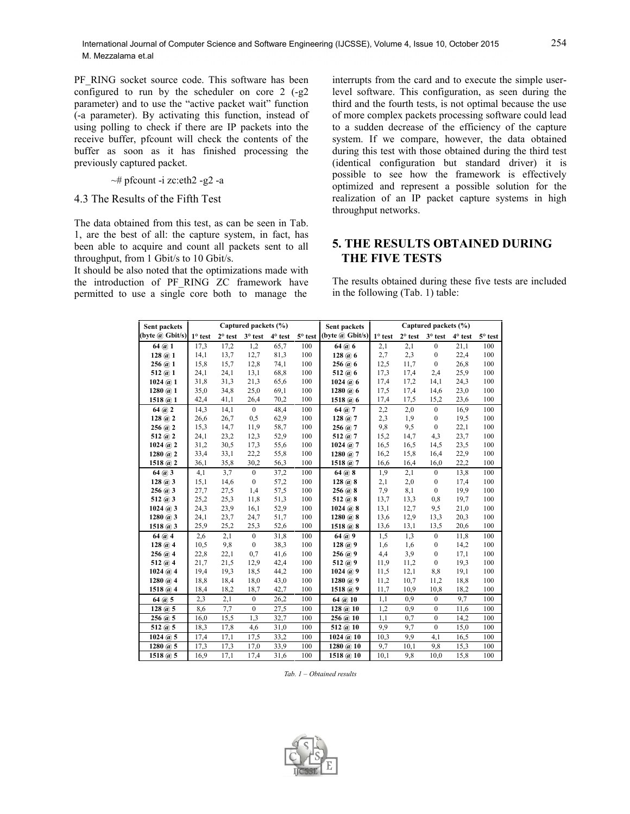PF\_RING socket source code. This software has been configured to run by the scheduler on core 2 (-g2 parameter) and to use the "active packet wait" function (-a parameter). By activating this function, instead of using polling to check if there are IP packets into the receive buffer, pfcount will check the contents of the buffer as soon as it has finished processing the previously captured packet.

#### ~# pfcount -i zc:eth2 -g2 -a

## 4.3 The Results of the Fifth Test

The data obtained from this test, as can be seen in Tab. 1, are the best of all: the capture system, in fact, has been able to acquire and count all packets sent to all throughput, from 1 Gbit/s to 10 Gbit/s.

It should be also noted that the optimizations made with the introduction of PF\_RING ZC\_framework have permitted to use a single core both to manage the

interrupts from the card and to execute the simple userlevel software. This configuration, as seen during the third and the fourth tests, is not optimal because the use of more complex packets processing software could lead to a sudden decrease of the efficiency of the capture system. If we compare, however, the data obtained during this test with those obtained during the third test (identical configuration but standard driver) it is possible to see how the framework is effectively optimized and represent a possible solution for the realization of an IP packet capture systems in high throughput networks.

## **5. THE RESULTS OBTAINED DURING THE FIVE TESTS**

The results obtained during these five tests are included in the following (Tab. 1) table:

| Sent packets            | Captured packets (%) |           |                  |                |                | Sent packets             | Captured packets (%) |                  |                  |                |                |
|-------------------------|----------------------|-----------|------------------|----------------|----------------|--------------------------|----------------------|------------------|------------------|----------------|----------------|
| (byte $\omega$ Gbit/s)  | $1^\circ$ test       | $2°$ test | 3° test          | $4^\circ$ test | $5^\circ$ test | (byte @ Gbit/s)          | $1^\circ$ test       | $2^{\circ}$ test | $3^\circ$ test   | $4^\circ$ test | $5^\circ$ test |
| 64 @ 1                  | 17,3                 | 17,2      | 1,2              | 65,7           | 100            | 64 @ 6                   | 2,1                  | 2,1              | $\overline{0}$   | 21,1           | 100            |
| 128 @ 1                 | 14,1                 | 13,7      | 12,7             | 81,3           | 100            | 128 @ 6                  | 2,7                  | 2,3              | $\boldsymbol{0}$ | 22,4           | 100            |
| 256 @ 1                 | 15,8                 | 15,7      | 12,8             | 74,1           | 100            | 256 @ 6                  | 12,5                 | 11,7             | $\boldsymbol{0}$ | 26,8           | 100            |
| 512 $@1$                | 24,1                 | 24,1      | 13,1             | 68.8           | 100            | $512 \; (a) 6$           | 17.3                 | 17,4             | 2,4              | 25,9           | 100            |
| 1024 @ 1                | 31,8                 | 31,3      | 21,3             | 65,6           | 100            | 1024 @ 6                 | 17,4                 | 17,2             | 14,1             | 24,3           | 100            |
| $1280 \ (a) 1$          | 35,0                 | 34,8      | 25,0             | 69,1           | 100            | 1280 $@6$                | 17,5                 | 17,4             | 14,6             | 23,0           | 100            |
| 1518 @ 1                | 42,4                 | 41,1      | 26,4             | 70,2           | 100            | 1518 $@6$                | 17,4                 | 17,5             | 15,2             | 23,6           | 100            |
| $64$ (a) 2              | 14,3                 | 14,1      | $\mathbf{0}$     | 48,4           | 100            | 64 @ 7                   | 2,2                  | 2,0              | $\mathbf{0}$     | 16.9           | 100            |
| $128 \; (a) 2$          | 26,6                 | 26,7      | 0,5              | 62,9           | 100            | $128 \; (a) 7$           | 2,3                  | 1.9              | $\mathbf{0}$     | 19,5           | 100            |
| 256 @ 2                 | 15,3                 | 14,7      | 11,9             | 58,7           | 100            | 256 @ 7                  | 9,8                  | 9,5              | $\boldsymbol{0}$ | 22,1           | 100            |
| 512 $(a)$ 2             | 24,1                 | 23,2      | 12,3             | 52,9           | 100            | 512 $(a)$ 7              | 15,2                 | 14,7             | 4,3              | 23,7           | 100            |
| $1024 \; (\hat{a}) 2$   | 31,2                 | 30,5      | 17,3             | 55,6           | 100            | $1024 \; (\n@) 7$        | 16.5                 | 16,5             | 14,5             | 23,5           | 100            |
| $1280 \ (a) 2$          | 33,4                 | 33,1      | 22,2             | 55,8           | 100            | 1280 $@7$                | 16,2                 | 15,8             | 16,4             | 22,9           | 100            |
| 1518 $@2$               | 36,1                 | 35,8      | 30,2             | 56,3           | 100            | 1518 $@7$                | 16,6                 | 16,4             | 16,0             | 22,2           | 100            |
| 64 @ 3                  | 4,1                  | 3,7       | $\mathbf{0}$     | 37,2           | 100            | 64 @ 8                   | 1,9                  | 2,1              | $\mathbf{0}$     | 13.8           | 100            |
| 128 @ 3                 | 15,1                 | 14,6      | $\overline{0}$   | 57,2           | 100            | 128 @ 8                  | 2,1                  | 2,0              | $\boldsymbol{0}$ | 17,4           | 100            |
| $256 \; (a) 3$          | 27,7                 | 27,5      | 1.4              | 57,5           | 100            | 256 @ 8                  | 7,9                  | 8,1              | $\mathbf{0}$     | 19.9           | 100            |
| 512 $@3$                | 25,2                 | 25,3      | 11,8             | 51,3           | 100            | 512 $(a)$ 8              | 13,7                 | 13.3             | 0,8              | 19.7           | 100            |
| $1024 \; (\hat{a})\; 3$ | 24,3                 | 23,9      | 16,1             | 52,9           | 100            | $1024 \; (\hat{a})\; 8$  | 13,1                 | 12,7             | 9.5              | 21,0           | 100            |
| $1280 \ (a) 3$          | 24,1                 | 23,7      | 24,7             | 51,7           | 100            | $1280 \ (a) 8$           | 13,6                 | 12,9             | 13,3             | 20,3           | 100            |
| 1518 $(a)$ 3            | 25,9                 | 25,2      | 25,3             | 52,6           | 100            | 1518 $@8$                | 13,6                 | 13,1             | 13,5             | 20,6           | 100            |
| 64 @ 4                  | 2,6                  | 2,1       | $\mathbf{0}$     | 31,8           | 100            | 64 @ 9                   | 1,5                  | 1,3              | $\mathbf{0}$     | 11,8           | 100            |
| 128 @ 4                 | 10,5                 | 9,8       | $\mathbf{0}$     | 38,3           | 100            | 128 @ 9                  | 1,6                  | 1,6              | $\boldsymbol{0}$ | 14,2           | 100            |
| 256 @ 4                 | 22,8                 | 22,1      | 0.7              | 41,6           | 100            | 256 @.9                  | 4,4                  | 3,9              | $\mathbf{0}$     | 17,1           | 100            |
| 512 $@4$                | 21,7                 | 21,5      | 12,9             | 42,4           | 100            | $512 \; (a) 9$           | 11,9                 | 11.2             | $\mathbf{0}$     | 19.3           | 100            |
| 1024 @ A                | 19,4                 | 19,3      | 18,5             | 44,2           | 100            | 1024 @.9                 | 11,5                 | 12,1             | 8,8              | 19,1           | 100            |
| $1280 \; (\hat{a})$ 4   | 18,8                 | 18,4      | 18,0             | 43,0           | 100            | 1280 @ $9$               | 11,2                 | 10.7             | 11,2             | 18,8           | 100            |
| 1518 $@4$               | 18,4                 | 18,2      | 18,7             | 42,7           | 100            | 1518 $@9$                | 11,7                 | 10,9             | 10,8             | 18,2           | 100            |
| 64 @ 5                  | 2,3                  | 2,1       | $\boldsymbol{0}$ | 26,2           | 100            | 64 @ 10                  | 1,1                  | 0.9              | $\mathbf{0}$     | 9,7            | 100            |
| 128 @ 5                 | 8,6                  | 7.7       | $\mathbf{0}$     | 27,5           | 100            | 128 @ 10                 | 1,2                  | 0.9              | $\mathbf{0}$     | 11,6           | 100            |
| 256 @ 5                 | 16,0                 | 15,5      | 1,3              | 32,7           | 100            | 256 @ 10                 | 1,1                  | 0,7              | $\theta$         | 14,2           | 100            |
| $512 \; (a) 5$          | 18,3                 | 17,8      | 4,6              | 31,0           | 100            | 512 $@.10$               | 9.9                  | 9.7              | $\theta$         | 15,0           | 100            |
| $1024 \; (a) 5$         | 17,4                 | 17,1      | 17,5             | 33,2           | 100            | 1024 @ 10                | 10.3                 | 9.9              | 4.1              | 16,5           | 100            |
| 1280 $(a)$ 5            | 17,3                 | 17,3      | 17,0             | 33,9           | 100            | $1280 \; (\bar{a})\; 10$ | 9,7                  | 10,1             | 9.8              | 15,3           | 100            |
| 1518 $@$ 5              | 16,9                 | 17,1      | 17,4             | 31,6           | 100            | 1518 @ 10                | 10,1                 | 9,8              | 10.0             | 15,8           | 100            |

*Tab. 1 – Obtained results*